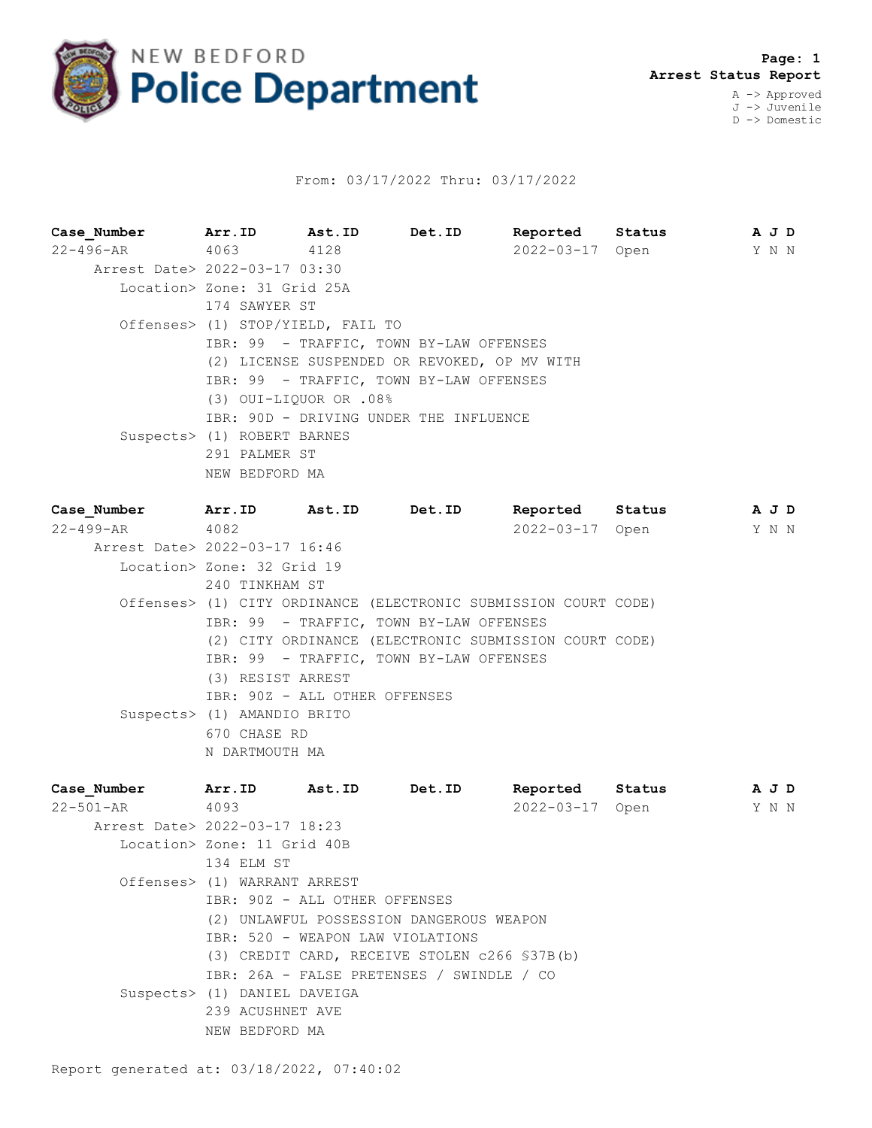

## From: 03/17/2022 Thru: 03/17/2022

**Case\_Number Arr.ID Ast.ID Det.ID Reported Status A J D** 22-496-AR 4063 4128 2022-03-17 Open Y N N Arrest Date> 2022-03-17 03:30 Location> Zone: 31 Grid 25A 174 SAWYER ST Offenses> (1) STOP/YIELD, FAIL TO IBR: 99 - TRAFFIC, TOWN BY-LAW OFFENSES (2) LICENSE SUSPENDED OR REVOKED, OP MV WITH IBR: 99 - TRAFFIC, TOWN BY-LAW OFFENSES (3) OUI-LIQUOR OR .08% IBR: 90D - DRIVING UNDER THE INFLUENCE Suspects> (1) ROBERT BARNES 291 PALMER ST NEW BEDFORD MA

**Case\_Number Arr.ID Ast.ID Det.ID Reported Status A J D** 22-499-AR 4082 2022-03-17 Open Y N N Arrest Date> 2022-03-17 16:46 Location> Zone: 32 Grid 19 240 TINKHAM ST Offenses> (1) CITY ORDINANCE (ELECTRONIC SUBMISSION COURT CODE) IBR: 99 - TRAFFIC, TOWN BY-LAW OFFENSES (2) CITY ORDINANCE (ELECTRONIC SUBMISSION COURT CODE) IBR: 99 - TRAFFIC, TOWN BY-LAW OFFENSES (3) RESIST ARREST IBR: 90Z - ALL OTHER OFFENSES Suspects> (1) AMANDIO BRITO 670 CHASE RD N DARTMOUTH MA

| Case Number                   | Arr.ID                                   | Ast.ID | Det.ID                                        | Reported        | Status |  | AJD   |  |
|-------------------------------|------------------------------------------|--------|-----------------------------------------------|-----------------|--------|--|-------|--|
| 22-501-AR                     | 4093                                     |        |                                               | 2022-03-17 Open |        |  | Y N N |  |
| Arrest Date> 2022-03-17 18:23 |                                          |        |                                               |                 |        |  |       |  |
|                               | Location> Zone: 11 Grid 40B              |        |                                               |                 |        |  |       |  |
|                               | 134 ELM ST                               |        |                                               |                 |        |  |       |  |
|                               | Offenses> (1) WARRANT ARREST             |        |                                               |                 |        |  |       |  |
|                               | IBR: 90Z - ALL OTHER OFFENSES            |        |                                               |                 |        |  |       |  |
|                               | (2) UNLAWFUL POSSESSION DANGEROUS WEAPON |        |                                               |                 |        |  |       |  |
|                               | IBR: 520 - WEAPON LAW VIOLATIONS         |        |                                               |                 |        |  |       |  |
|                               |                                          |        | (3) CREDIT CARD, RECEIVE STOLEN c266 \$37B(b) |                 |        |  |       |  |
|                               |                                          |        | IBR: 26A - FALSE PRETENSES / SWINDLE / CO     |                 |        |  |       |  |
|                               | Suspects> (1) DANIEL DAVEIGA             |        |                                               |                 |        |  |       |  |
|                               | 239 ACUSHNET AVE                         |        |                                               |                 |        |  |       |  |
|                               | NEW BEDFORD MA                           |        |                                               |                 |        |  |       |  |